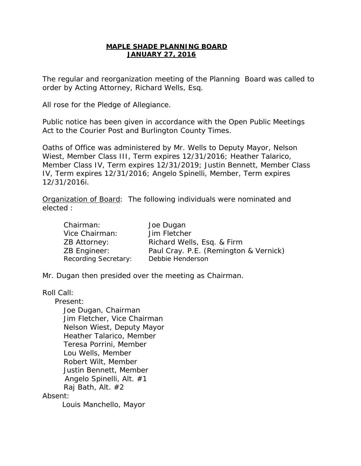# **MAPLE SHADE PLANNING BOARD JANUARY 27, 2016**

The regular and reorganization meeting of the Planning Board was called to order by Acting Attorney, Richard Wells, Esq.

All rose for the Pledge of Allegiance.

Public notice has been given in accordance with the Open Public Meetings Act to the Courier Post and Burlington County Times.

Oaths of Office was administered by Mr. Wells to Deputy Mayor, Nelson Wiest, Member Class III, Term expires 12/31/2016; Heather Talarico, Member Class IV, Term expires 12/31/2019; Justin Bennett, Member Class IV, Term expires 12/31/2016; Angelo Spinelli, Member, Term expires 12/31/2016i.

Organization of Board: The following individuals were nominated and elected :

| Chairman:                   | Joe Dugan                             |
|-----------------------------|---------------------------------------|
| Vice Chairman:              | Jim Fletcher                          |
| ZB Attorney:                | Richard Wells, Esq. & Firm            |
| <b>ZB Engineer:</b>         | Paul Cray. P.E. (Remington & Vernick) |
| <b>Recording Secretary:</b> | Debbie Henderson                      |

Mr. Dugan then presided over the meeting as Chairman.

Roll Call:

 Present: Joe Dugan, Chairman Jim Fletcher, Vice Chairman Nelson Wiest, Deputy Mayor Heather Talarico, Member Teresa Porrini, Member Lou Wells, Member Robert Wilt, Member Justin Bennett, Member Angelo Spinelli, Alt. #1 Raj Bath, Alt. #2

# Absent:

Louis Manchello, Mayor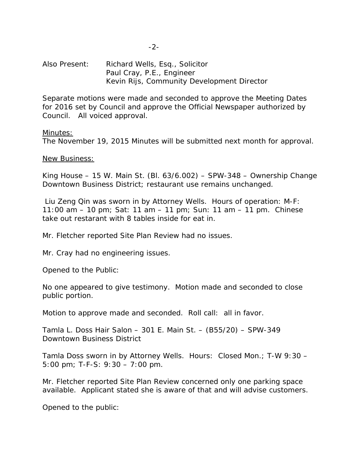Also Present: Richard Wells, Esq., Solicitor Paul Cray, P.E., Engineer Kevin Rijs, Community Development Director

Separate motions were made and seconded to approve the Meeting Dates for 2016 set by Council and approve the Official Newspaper authorized by Council. All voiced approval.

Minutes:

The November 19, 2015 Minutes will be submitted next month for approval.

New Business:

King House – 15 W. Main St. (Bl. 63/6.002) – SPW-348 – Ownership Change Downtown Business District; restaurant use remains unchanged.

Liu Zeng Qin was sworn in by Attorney Wells. Hours of operation: M-F: 11:00 am – 10 pm; Sat: 11 am – 11 pm; Sun: 11 am – 11 pm. Chinese take out restarant with 8 tables inside for eat in.

Mr. Fletcher reported Site Plan Review had no issues.

Mr. Cray had no engineering issues.

Opened to the Public:

No one appeared to give testimony. Motion made and seconded to close public portion.

Motion to approve made and seconded. Roll call: all in favor.

Tamla L. Doss Hair Salon – 301 E. Main St. – (B55/20) – SPW-349 Downtown Business District

Tamla Doss sworn in by Attorney Wells. Hours: Closed Mon.; T-W 9:30 – 5:00 pm; T-F-S: 9:30 – 7:00 pm.

Mr. Fletcher reported Site Plan Review concerned only one parking space available. Applicant stated she is aware of that and will advise customers.

Opened to the public: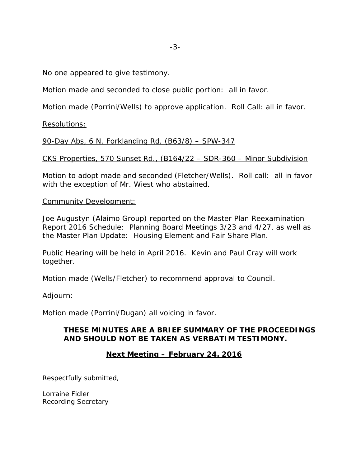-3-

No one appeared to give testimony.

Motion made and seconded to close public portion: all in favor.

Motion made (Porrini/Wells) to approve application. Roll Call: all in favor.

Resolutions:

90-Day Abs, 6 N. Forklanding Rd. (B63/8) – SPW-347

CKS Properties, 570 Sunset Rd., (B164/22 – SDR-360 – Minor Subdivision

Motion to adopt made and seconded (Fletcher/Wells). Roll call: all in favor with the exception of Mr. Wiest who abstained.

# Community Development:

Joe Augustyn (Alaimo Group) reported on the Master Plan Reexamination Report 2016 Schedule: Planning Board Meetings 3/23 and 4/27, as well as the Master Plan Update: Housing Element and Fair Share Plan.

Public Hearing will be held in April 2016. Kevin and Paul Cray will work together.

Motion made (Wells/Fletcher) to recommend approval to Council.

# Adjourn:

Motion made (Porrini/Dugan) all voicing in favor.

# **THESE MINUTES ARE A BRIEF SUMMARY OF THE PROCEEDINGS AND SHOULD NOT BE TAKEN AS VERBATIM TESTIMONY.**

# **Next Meeting – February 24, 2016**

Respectfully submitted,

Lorraine Fidler Recording Secretary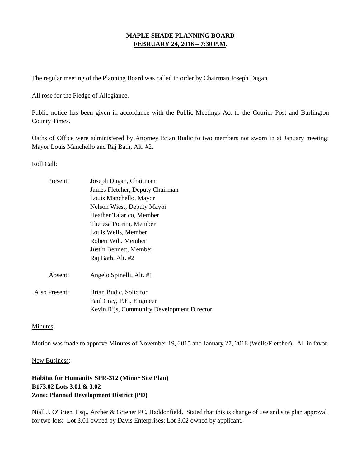# **MAPLE SHADE PLANNING BOARD FEBRUARY 24, 2016 – 7:30 P.M**.

The regular meeting of the Planning Board was called to order by Chairman Joseph Dugan.

All rose for the Pledge of Allegiance.

Public notice has been given in accordance with the Public Meetings Act to the Courier Post and Burlington County Times.

Oaths of Office were administered by Attorney Brian Budic to two members not sworn in at January meeting: Mayor Louis Manchello and Raj Bath, Alt. #2.

#### Roll Call:

| Present:      | Joseph Dugan, Chairman                     |
|---------------|--------------------------------------------|
|               | James Fletcher, Deputy Chairman            |
|               | Louis Manchello, Mayor                     |
|               | Nelson Wiest, Deputy Mayor                 |
|               | Heather Talarico, Member                   |
|               | Theresa Porrini, Member                    |
|               | Louis Wells, Member                        |
|               | Robert Wilt, Member                        |
|               | Justin Bennett, Member                     |
|               | Raj Bath, Alt. #2                          |
| Absent:       | Angelo Spinelli, Alt. #1                   |
| Also Present: | Brian Budic, Solicitor                     |
|               | Paul Cray, P.E., Engineer                  |
|               | Kevin Rijs, Community Development Director |

Minutes:

Motion was made to approve Minutes of November 19, 2015 and January 27, 2016 (Wells/Fletcher). All in favor.

#### New Business:

**Habitat for Humanity SPR-312 (Minor Site Plan) B173.02 Lots 3.01 & 3.02 Zone: Planned Development District (PD)**

[Niall J. O'Brien,](http://www.archerlaw.com/our-people/niall-j-o-brien/) Esq., Archer & Griener PC, Haddonfield. Stated that this is change of use and site plan approval for two lots: Lot 3.01 owned by Davis Enterprises; Lot 3.02 owned by applicant.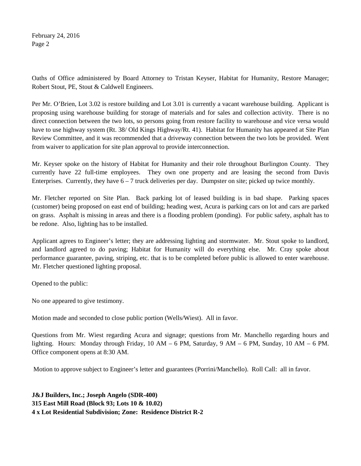February 24, 2016 Page 2

Oaths of Office administered by Board Attorney to Tristan Keyser, Habitat for Humanity, Restore Manager; Robert Stout, PE, Stout & Caldwell Engineers.

Per Mr. O'Brien, Lot 3.02 is restore building and Lot 3.01 is currently a vacant warehouse building. Applicant is proposing using warehouse building for storage of materials and for sales and collection activity. There is no direct connection between the two lots, so persons going from restore facility to warehouse and vice versa would have to use highway system (Rt. 38/ Old Kings Highway/Rt. 41). Habitat for Humanity has appeared at Site Plan Review Committee, and it was recommended that a driveway connection between the two lots be provided. Went from waiver to application for site plan approval to provide interconnection.

Mr. Keyser spoke on the history of Habitat for Humanity and their role throughout Burlington County. They currently have 22 full-time employees. They own one property and are leasing the second from Davis Enterprises. Currently, they have  $6 - 7$  truck deliveries per day. Dumpster on site; picked up twice monthly.

Mr. Fletcher reported on Site Plan. Back parking lot of leased building is in bad shape. Parking spaces (customer) being proposed on east end of building; heading west, Acura is parking cars on lot and cars are parked on grass. Asphalt is missing in areas and there is a flooding problem (ponding). For public safety, asphalt has to be redone. Also, lighting has to be installed.

Applicant agrees to Engineer's letter; they are addressing lighting and stormwater. Mr. Stout spoke to landlord, and landlord agreed to do paving; Habitat for Humanity will do everything else. Mr. Cray spoke about performance guarantee, paving, striping, etc. that is to be completed before public is allowed to enter warehouse. Mr. Fletcher questioned lighting proposal.

Opened to the public:

No one appeared to give testimony.

Motion made and seconded to close public portion (Wells/Wiest). All in favor.

Questions from Mr. Wiest regarding Acura and signage; questions from Mr. Manchello regarding hours and lighting. Hours: Monday through Friday,  $10 \text{ AM} - 6 \text{ PM}$ , Saturday,  $9 \text{ AM} - 6 \text{ PM}$ , Sunday,  $10 \text{ AM} - 6 \text{ PM}$ . Office component opens at 8:30 AM.

Motion to approve subject to Engineer's letter and guarantees (Porrini/Manchello). Roll Call: all in favor.

**J&J Builders, Inc.; Joseph Angelo (SDR-400) 315 East Mill Road (Block 93; Lots 10 & 10.02) 4 x Lot Residential Subdivision; Zone: Residence District R-2**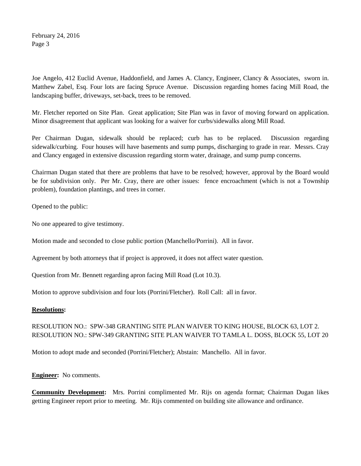February 24, 2016 Page 3

Joe Angelo, 412 Euclid Avenue, Haddonfield, and James A. Clancy, Engineer, Clancy & Associates, sworn in. Matthew Zabel, Esq. Four lots are facing Spruce Avenue. Discussion regarding homes facing Mill Road, the landscaping buffer, driveways, set-back, trees to be removed.

Mr. Fletcher reported on Site Plan. Great application; Site Plan was in favor of moving forward on application. Minor disagreement that applicant was looking for a waiver for curbs/sidewalks along Mill Road.

Per Chairman Dugan, sidewalk should be replaced; curb has to be replaced. Discussion regarding sidewalk/curbing. Four houses will have basements and sump pumps, discharging to grade in rear. Messrs. Cray and Clancy engaged in extensive discussion regarding storm water, drainage, and sump pump concerns.

Chairman Dugan stated that there are problems that have to be resolved; however, approval by the Board would be for subdivision only. Per Mr. Cray, there are other issues: fence encroachment (which is not a Township problem), foundation plantings, and trees in corner.

Opened to the public:

No one appeared to give testimony.

Motion made and seconded to close public portion (Manchello/Porrini). All in favor.

Agreement by both attorneys that if project is approved, it does not affect water question.

Question from Mr. Bennett regarding apron facing Mill Road (Lot 10.3).

Motion to approve subdivision and four lots (Porrini/Fletcher). Roll Call: all in favor.

#### **Resolutions:**

# RESOLUTION NO.: SPW-348 GRANTING SITE PLAN WAIVER TO KING HOUSE, BLOCK 63, LOT 2. RESOLUTION NO.: SPW-349 GRANTING SITE PLAN WAIVER TO TAMLA L. DOSS, BLOCK 55, LOT 20

Motion to adopt made and seconded (Porrini/Fletcher); Abstain: Manchello. All in favor.

**Engineer:** No comments.

**Community Development:** Mrs. Porrini complimented Mr. Rijs on agenda format; Chairman Dugan likes getting Engineer report prior to meeting. Mr. Rijs commented on building site allowance and ordinance.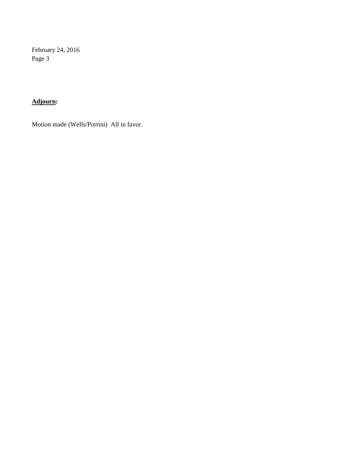February 24, 2016 Page 3

# **Adjourn:**

Motion made (Wells/Porrini) All in favor.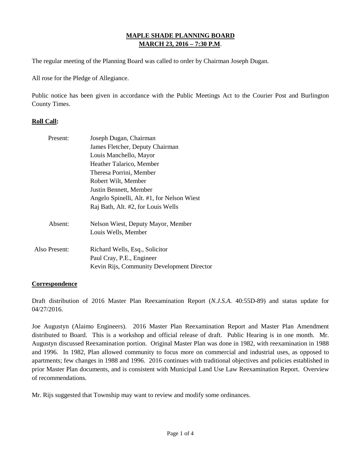# **MAPLE SHADE PLANNING BOARD MARCH 23, 2016 – 7:30 P.M**.

The regular meeting of the Planning Board was called to order by Chairman Joseph Dugan.

All rose for the Pledge of Allegiance.

Public notice has been given in accordance with the Public Meetings Act to the Courier Post and Burlington County Times.

# **Roll Call:**

| Present:      | Joseph Dugan, Chairman                     |
|---------------|--------------------------------------------|
|               | James Fletcher, Deputy Chairman            |
|               | Louis Manchello, Mayor                     |
|               | Heather Talarico, Member                   |
|               | Theresa Porrini, Member                    |
|               | Robert Wilt, Member                        |
|               | Justin Bennett, Member                     |
|               | Angelo Spinelli, Alt. #1, for Nelson Wiest |
|               | Raj Bath, Alt. #2, for Louis Wells         |
| Absent:       | Nelson Wiest, Deputy Mayor, Member         |
|               | Louis Wells, Member                        |
| Also Present: | Richard Wells, Esq., Solicitor             |
|               | Paul Cray, P.E., Engineer                  |
|               | Kevin Rijs, Community Development Director |
|               |                                            |

#### **Correspondence**

Draft distribution of 2016 Master Plan Reexamination Report (*N.J.S.A.* 40:55D-89) and status update for 04/27/2016.

Joe Augustyn (Alaimo Engineers). 2016 Master Plan Reexamination Report and Master Plan Amendment distributed to Board. This is a workshop and official release of draft. Public Hearing is in one month. Mr. Augustyn discussed Reexamination portion. Original Master Plan was done in 1982, with reexamination in 1988 and 1996. In 1982, Plan allowed community to focus more on commercial and industrial uses, as opposed to apartments; few changes in 1988 and 1996. 2016 continues with traditional objectives and policies established in prior Master Plan documents, and is consistent with Municipal Land Use Law Reexamination Report. Overview of recommendations.

Mr. Rijs suggested that Township may want to review and modify some ordinances.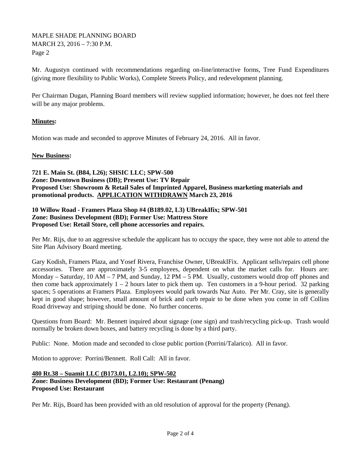Mr. Augustyn continued with recommendations regarding on-line/interactive forms, Tree Fund Expenditures (giving more flexibility to Public Works), Complete Streets Policy, and redevelopment planning.

Per Chairman Dugan, Planning Board members will review supplied information; however, he does not feel there will be any major problems.

# **Minutes:**

Motion was made and seconded to approve Minutes of February 24, 2016. All in favor.

### **New Business:**

**721 E. Main St. (B84, L26); SHSIC LLC; SPW-500 Zone: Downtown Business (DB); Present Use: TV Repair Proposed Use: Showroom & Retail Sales of Imprinted Apparel, Business marketing materials and promotional products. APPLICATION WITHDRAWN March 23, 2016**

### **10 Willow Road - Framers Plaza Shop #4 (B189.02, L3) UBreakIfix; SPW-501 Zone: Business Development (BD); Former Use: Mattress Store Proposed Use: Retail Store, cell phone accessories and repairs.**

Per Mr. Rijs, due to an aggressive schedule the applicant has to occupy the space, they were not able to attend the Site Plan Advisory Board meeting.

Gary Kodish, Framers Plaza, and Yosef Rivera, Franchise Owner, UBreakIFix. Applicant sells/repairs cell phone accessories. There are approximately 3-5 employees, dependent on what the market calls for. Hours are: Monday – Saturday, 10 AM – 7 PM, and Sunday, 12 PM – 5 PM. Usually, customers would drop off phones and then come back approximately  $1 - 2$  hours later to pick them up. Ten customers in a 9-hour period. 32 parking spaces; 5 operations at Framers Plaza. Employees would park towards Naz Auto. Per Mr. Cray, site is generally kept in good shape; however, small amount of brick and curb repair to be done when you come in off Collins Road driveway and striping should be done. No further concerns.

Questions from Board: Mr. Bennett inquired about signage (one sign) and trash/recycling pick-up. Trash would normally be broken down boxes, and battery recycling is done by a third party.

Public: None. Motion made and seconded to close public portion (Porrini/Talarico). All in favor.

Motion to approve: Porrini/Bennett. Roll Call: All in favor.

# **480 Rt.38 – Suamit LLC (B173.01, L2.10); SPW-502**

# **Zone: Business Development (BD); Former Use: Restaurant (Penang) Proposed Use: Restaurant**

Per Mr. Rijs, Board has been provided with an old resolution of approval for the property (Penang).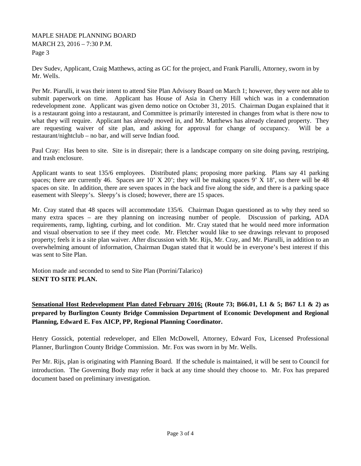Dev Sudev, Applicant, Craig Matthews, acting as GC for the project, and Frank Piarulli, Attorney, sworn in by Mr. Wells.

Per Mr. Piarulli, it was their intent to attend Site Plan Advisory Board on March 1; however, they were not able to submit paperwork on time. Applicant has House of Asia in Cherry Hill which was in a condemnation redevelopment zone. Applicant was given demo notice on October 31, 2015. Chairman Dugan explained that it is a restaurant going into a restaurant, and Committee is primarily interested in changes from what is there now to what they will require. Applicant has already moved in, and Mr. Matthews has already cleaned property. They are requesting waiver of site plan, and asking for approval for change of occupancy. Will be a restaurant/nightclub – no bar, and will serve Indian food.

Paul Cray: Has been to site. Site is in disrepair; there is a landscape company on site doing paving, restriping, and trash enclosure.

Applicant wants to seat 135/6 employees. Distributed plans; proposing more parking. Plans say 41 parking spaces; there are currently 46. Spaces are 10' X 20'; they will be making spaces 9' X 18', so there will be 48 spaces on site. In addition, there are seven spaces in the back and five along the side, and there is a parking space easement with Sleepy's. Sleepy's is closed; however, there are 15 spaces.

Mr. Cray stated that 48 spaces will accommodate 135/6. Chairman Dugan questioned as to why they need so many extra spaces – are they planning on increasing number of people. Discussion of parking, ADA requirements, ramp, lighting, curbing, and lot condition. Mr. Cray stated that he would need more information and visual observation to see if they meet code. Mr. Fletcher would like to see drawings relevant to proposed property; feels it is a site plan waiver. After discussion with Mr. Rijs, Mr. Cray, and Mr. Piarulli, in addition to an overwhelming amount of information, Chairman Dugan stated that it would be in everyone's best interest if this was sent to Site Plan.

Motion made and seconded to send to Site Plan (Porrini/Talarico) **SENT TO SITE PLAN.**

**Sensational Host Redevelopment Plan dated February 2016; (Route 73; B66.01, L1 & 5; B67 L1 & 2) as prepared by Burlington County Bridge Commission Department of Economic Development and Regional Planning, Edward E. Fox AICP, PP, Regional Planning Coordinator.**

Henry Gossick, potential redeveloper, and Ellen McDowell, Attorney, Edward Fox, Licensed Professional Planner, Burlington County Bridge Commission. Mr. Fox was sworn in by Mr. Wells.

Per Mr. Rijs, plan is originating with Planning Board. If the schedule is maintained, it will be sent to Council for introduction. The Governing Body may refer it back at any time should they choose to. Mr. Fox has prepared document based on preliminary investigation.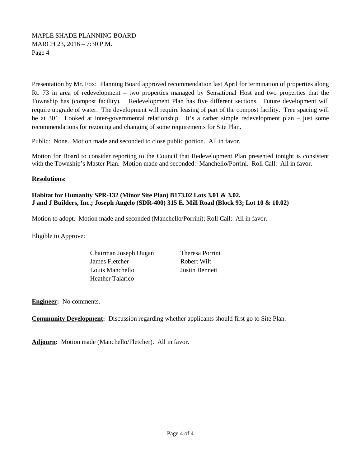Presentation by Mr. Fox: Planning Board approved recommendation last April for termination of properties along Rt. 73 in area of redevelopment – two properties managed by Sensational Host and two properties that the Township has (compost facility). Redevelopment Plan has five different sections. Future development will require upgrade of water. The development will require leasing of part of the compost facility. Tree spacing will be at 30'. Looked at inter-governmental relationship. It's a rather simple redevelopment plan – just some recommendations for rezoning and changing of some requirements for Site Plan.

Public: None. Motion made and seconded to close public portion. All in favor.

Motion for Board to consider reporting to the Council that Redevelopment Plan presented tonight is consistent with the Township's Master Plan. Motion made and seconded: Manchello/Porrini. Roll Call: All in favor.

### **Resolutions:**

# **Habitat for Humanity SPR-132 (Minor Site Plan) B173.02 Lots 3.01 & 3.02. J and J Builders, Inc.; Joseph Angelo (SDR-400) 315 E. Mill Road (Block 93; Lot 10 & 10.02)**

Motion to adopt. Motion made and seconded (Manchello/Porrini); Roll Call: All in favor.

Eligible to Approve:

| Chairman Joseph Dugan |
|-----------------------|
| James Fletcher        |
| Louis Manchello       |
| Heather Talarico      |

Theresa Porrini Robert Wilt **Justin Bennett** 

**Engineer:** No comments.

**Community Development:** Discussion regarding whether applicants should first go to Site Plan.

**Adjourn:** Motion made (Manchello/Fletcher). All in favor.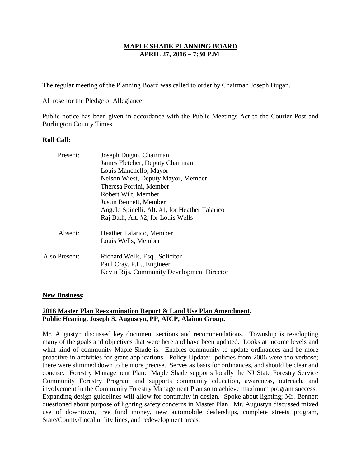The regular meeting of the Planning Board was called to order by Chairman Joseph Dugan.

All rose for the Pledge of Allegiance.

Public notice has been given in accordance with the Public Meetings Act to the Courier Post and Burlington County Times.

### **Roll Call:**

| Present:      | Joseph Dugan, Chairman                                      |
|---------------|-------------------------------------------------------------|
|               | James Fletcher, Deputy Chairman                             |
|               | Louis Manchello, Mayor                                      |
|               | Nelson Wiest, Deputy Mayor, Member                          |
|               | Theresa Porrini, Member                                     |
|               | Robert Wilt, Member                                         |
|               | Justin Bennett, Member                                      |
|               | Angelo Spinelli, Alt. #1, for Heather Talarico              |
|               | Raj Bath, Alt. #2, for Louis Wells                          |
| Absent:       | Heather Talarico, Member                                    |
|               | Louis Wells, Member                                         |
| Also Present: | Richard Wells, Esq., Solicitor<br>Paul Cray, P.E., Engineer |
|               | Kevin Rijs, Community Development Director                  |
|               |                                                             |

#### **New Business:**

# **2016 Master Plan Reexamination Report & Land Use Plan Amendment . Public Hearing. Joseph S. Augustyn, PP, AICP, Alaimo Group.**

Mr. Augustyn discussed key document sections and recommendations. Township is re-adopting many of the goals and objectives that were here and have been updated. Looks at income levels and what kind of community Maple Shade is. Enables community to update ordinances and be more proactive in activities for grant applications. Policy Update: policies from 2006 were too verbose; there were slimmed down to be more precise. Serves as basis for ordinances, and should be clear and concise. Forestry Management Plan: Maple Shade supports locally the NJ State Forestry Service Community Forestry Program and supports community education, awareness, outreach, and involvement in the Community Forestry Management Plan so to achieve maximum program success. Expanding design guidelines will allow for continuity in design. Spoke about lighting; Mr. Bennett questioned about purpose of lighting safety concerns in Master Plan. Mr. Augustyn discussed mixed use of downtown, tree fund money, new automobile dealerships, complete streets program, State/County/Local utility lines, and redevelopment areas.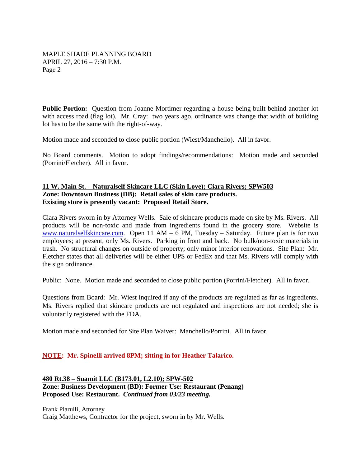**Public Portion:** Question from Joanne Mortimer regarding a house being built behind another lot with access road (flag lot). Mr. Cray: two years ago, ordinance was change that width of building lot has to be the same with the right-of-way.

Motion made and seconded to close public portion (Wiest/Manchello). All in favor.

No Board comments. Motion to adopt findings/recommendations:Motion made and seconded (Porrini/Fletcher). All in favor.

### **Zone: Downtown Business (DB): Retail sales of skin care products. 11 W. Main St. – Naturalself Skincare LLC (Skin Love); Ciara Rivers; SPW503 Existing store is presently vacant: Proposed Retail Store.**

Ciara Rivers sworn in by Attorney Wells. Sale of skincare products made on site by Ms. Rivers. All products will be non-toxic and made from ingredients found in the grocery store. Website is [www.naturalselfskincare.com.](http://www.naturalselfskincare.com/) Open 11 AM – 6 PM, Tuesday – Saturday. Future plan is for two employees; at present, only Ms. Rivers. Parking in front and back. No bulk/non-toxic materials in trash. No structural changes on outside of property; only minor interior renovations. Site Plan: Mr. Fletcher states that all deliveries will be either UPS or FedEx and that Ms. Rivers will comply with the sign ordinance.

Public: None. Motion made and seconded to close public portion (Porrini/Fletcher). All in favor.

Questions from Board: Mr. Wiest inquired if any of the products are regulated as far as ingredients. Ms. Rivers replied that skincare products are not regulated and inspections are not needed; she is voluntarily registered with the FDA.

Motion made and seconded for Site Plan Waiver: Manchello/Porrini. All in favor.

# **NOTE: Mr. Spinelli arrived 8PM; sitting in for Heather Talarico.**

**Zone: Business Development (BD): Former Use: Restaurant (Penang) 480 Rt.38 – Suamit LLC (B173.01, L2.10); SPW-502 Proposed Use: Restaurant.** *Continued from 03/23 meeting.*

Frank Piarulli, Attorney Craig Matthews, Contractor for the project, sworn in by Mr. Wells.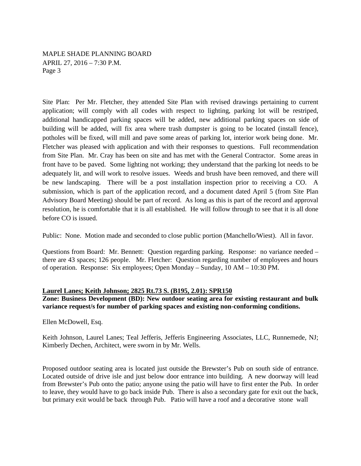Site Plan: Per Mr. Fletcher, they attended Site Plan with revised drawings pertaining to current application; will comply with all codes with respect to lighting, parking lot will be restriped, additional handicapped parking spaces will be added, new additional parking spaces on side of building will be added, will fix area where trash dumpster is going to be located (install fence), potholes will be fixed, will mill and pave some areas of parking lot, interior work being done. Mr. Fletcher was pleased with application and with their responses to questions. Full recommendation from Site Plan. Mr. Cray has been on site and has met with the General Contractor. Some areas in front have to be paved. Some lighting not working; they understand that the parking lot needs to be adequately lit, and will work to resolve issues. Weeds and brush have been removed, and there will be new landscaping. There will be a post installation inspection prior to receiving a CO. A submission, which is part of the application record, and a document dated April 5 (from Site Plan Advisory Board Meeting) should be part of record. As long as this is part of the record and approval resolution, he is comfortable that it is all established. He will follow through to see that it is all done before CO is issued.

Public: None. Motion made and seconded to close public portion (Manchello/Wiest). All in favor.

Questions from Board: Mr. Bennett: Question regarding parking. Response: no variance needed – there are 43 spaces; 126 people. Mr. Fletcher: Question regarding number of employees and hours of operation. Response: Six employees; Open Monday – Sunday, 10 AM – 10:30 PM.

#### **Laurel Lanes; Keith Johnson; 2825 Rt.73 S. (B195, 2.01): SPR150**

**Zone: Business Development (BD): New outdoor seating area for existing restaurant and bulk variance request/s for number of parking spaces and existing non-conforming conditions.**

Ellen McDowell, Esq.

Keith Johnson, Laurel Lanes; Teal Jefferis, Jefferis Engineering Associates, LLC, Runnemede, NJ; Kimberly Dechen, Architect, were sworn in by Mr. Wells.

Proposed outdoor seating area is located just outside the Brewster's Pub on south side of entrance. Located outside of drive isle and just below door entrance into building. A new doorway will lead from Brewster's Pub onto the patio; anyone using the patio will have to first enter the Pub. In order to leave, they would have to go back inside Pub. There is also a secondary gate for exit out the back, but primary exit would be back through Pub. Patio will have a roof and a decorative stone wall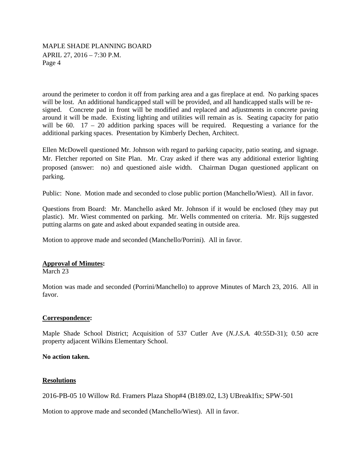around the perimeter to cordon it off from parking area and a gas fireplace at end. No parking spaces will be lost. An additional handicapped stall will be provided, and all handicapped stalls will be resigned. Concrete pad in front will be modified and replaced and adjustments in concrete paving around it will be made. Existing lighting and utilities will remain as is. Seating capacity for patio will be 60.  $17 - 20$  addition parking spaces will be required. Requesting a variance for the additional parking spaces. Presentation by Kimberly Dechen, Architect.

Ellen McDowell questioned Mr. Johnson with regard to parking capacity, patio seating, and signage. Mr. Fletcher reported on Site Plan. Mr. Cray asked if there was any additional exterior lighting proposed (answer: no) and questioned aisle width. Chairman Dugan questioned applicant on parking.

Public: None. Motion made and seconded to close public portion (Manchello/Wiest). All in favor.

Questions from Board: Mr. Manchello asked Mr. Johnson if it would be enclosed (they may put plastic). Mr. Wiest commented on parking. Mr. Wells commented on criteria. Mr. Rijs suggested putting alarms on gate and asked about expanded seating in outside area.

Motion to approve made and seconded (Manchello/Porrini). All in favor.

# **Approval of Minutes :**

March 23

Motion was made and seconded (Porrini/Manchello) to approve Minutes of March 23, 2016. All in favor.

#### **Correspondence:**

Maple Shade School District; Acquisition of 537 Cutler Ave (*N.J.S.A.* 40:55D-31); 0.50 acre property adjacent Wilkins Elementary School.

#### **No action taken.**

#### **Resolutions**

2016-PB-05 10 Willow Rd. Framers Plaza Shop#4 (B189.02, L3) UBreakIfix; SPW-501

Motion to approve made and seconded (Manchello/Wiest). All in favor.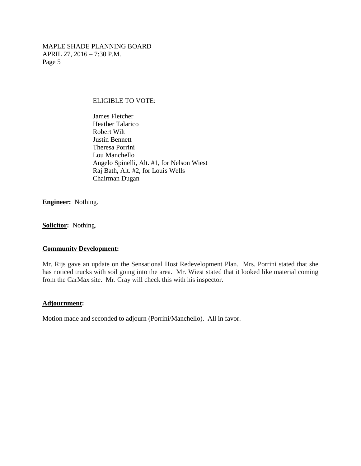### ELIGIBLE TO VOTE:

James Fletcher Heather Talarico Robert Wilt Justin Bennett Theresa Porrini Lou Manchello Angelo Spinelli, Alt. #1, for Nelson Wiest Raj Bath, Alt. #2, for Louis Wells Chairman Dugan

**Engineer:** Nothing.

**Solicitor:** Nothing.

#### **Community Development:**

Mr. Rijs gave an update on the Sensational Host Redevelopment Plan. Mrs. Porrini stated that she has noticed trucks with soil going into the area. Mr. Wiest stated that it looked like material coming from the CarMax site. Mr. Cray will check this with his inspector.

#### **Adjournment:**

Motion made and seconded to adjourn (Porrini/Manchello). All in favor.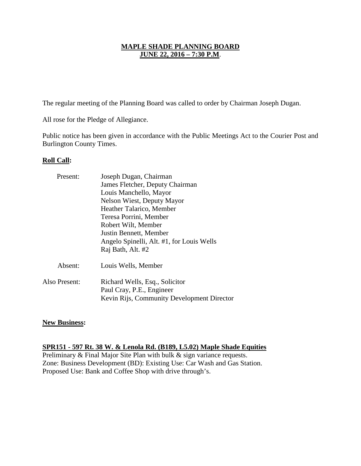The regular meeting of the Planning Board was called to order by Chairman Joseph Dugan.

All rose for the Pledge of Allegiance.

Public notice has been given in accordance with the Public Meetings Act to the Courier Post and Burlington County Times.

# **Roll Call:**

| Joseph Dugan, Chairman                     |
|--------------------------------------------|
| James Fletcher, Deputy Chairman            |
| Louis Manchello, Mayor                     |
| Nelson Wiest, Deputy Mayor                 |
| Heather Talarico, Member                   |
| Teresa Porrini, Member                     |
| Robert Wilt, Member                        |
| Justin Bennett, Member                     |
| Angelo Spinelli, Alt. #1, for Louis Wells  |
| Raj Bath, Alt. #2                          |
| Louis Wells, Member                        |
| Richard Wells, Esq., Solicitor             |
| Paul Cray, P.E., Engineer                  |
| Kevin Rijs, Community Development Director |
|                                            |

# **New Business:**

# **SPR151 - 597 Rt. 38 W. & Lenola Rd. (B189, L5.02) Maple Shade Equities**

Preliminary & Final Major Site Plan with bulk & sign variance requests. Zone: Business Development (BD): Existing Use: Car Wash and Gas Station. Proposed Use: Bank and Coffee Shop with drive through's.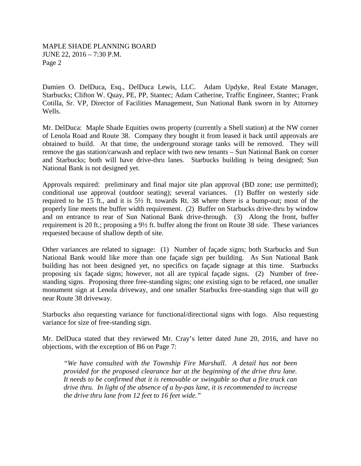Damien O. DelDuca, Esq., DelDuca Lewis, LLC. Adam Updyke, Real Estate Manager, Starbucks; Clifton W. Quay, PE, PP, Stantec; Adam Catherine, Traffic Engineer, Stantec; Frank Cotilla, Sr. VP, Director of Facilities Management, Sun National Bank sworn in by Attorney Wells.

Mr. DelDuca: Maple Shade Equities owns property (currently a Shell station) at the NW corner of Lenola Road and Route 38. Company they bought it from leased it back until approvals are obtained to build. At that time, the underground storage tanks will be removed. They will remove the gas station/carwash and replace with two new tenants – Sun National Bank on corner and Starbucks; both will have drive-thru lanes. Starbucks building is being designed; Sun National Bank is not designed yet.

Approvals required: preliminary and final major site plan approval (BD zone; use permitted); conditional use approval (outdoor seating); several variances. (1) Buffer on westerly side required to be 15 ft., and it is 5½ ft. towards Rt. 38 where there is a bump-out; most of the properly line meets the buffer width requirement. (2) Buffer on Starbucks drive-thru by window and on entrance to rear of Sun National Bank drive-through. (3) Along the front, buffer requirement is 20 ft.; proposing a 9½ ft. buffer along the front on Route 38 side. These variances requested because of shallow depth of site.

Other variances are related to signage: (1) Number of façade signs; both Starbucks and Sun National Bank would like more than one façade sign per building. As Sun National Bank building has not been designed yet, no specifics on façade signage at this time. Starbucks proposing six façade signs; however, not all are typical façade signs. (2) Number of freestanding signs. Proposing three free-standing signs; one existing sign to be refaced, one smaller monument sign at Lenola driveway, and one smaller Starbucks free-standing sign that will go near Route 38 driveway.

Starbucks also requesting variance for functional/directional signs with logo. Also requesting variance for size of free-standing sign.

Mr. DelDuca stated that they reviewed Mr. Cray's letter dated June 20, 2016, and have no objections, with the exception of B6 on Page 7:

*"We have consulted with the Township Fire Marshall. A detail has not been provided for the proposed clearance bar at the beginning of the drive thru lane. It needs to be confirmed that it is removable or swingable so that a fire truck can drive thru. In light of the absence of a by-pas lane, it is recommended to increase the drive thru lane from 12 feet to 16 feet wide."*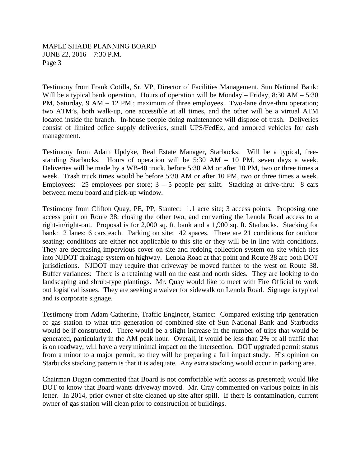Testimony from Frank Cotilla, Sr. VP, Director of Facilities Management, Sun National Bank: Will be a typical bank operation. Hours of operation will be Monday – Friday, 8:30 AM – 5:30 PM, Saturday, 9 AM – 12 PM.; maximum of three employees. Two-lane drive-thru operation; two ATM's, both walk-up, one accessible at all times, and the other will be a virtual ATM located inside the branch. In-house people doing maintenance will dispose of trash. Deliveries consist of limited office supply deliveries, small UPS/FedEx, and armored vehicles for cash management.

Testimony from Adam Updyke, Real Estate Manager, Starbucks: Will be a typical, freestanding Starbucks. Hours of operation will be 5:30 AM – 10 PM, seven days a week. Deliveries will be made by a WB-40 truck, before 5:30 AM or after 10 PM, two or three times a week. Trash truck times would be before 5:30 AM or after 10 PM, two or three times a week. Employees: 25 employees per store;  $3 - 5$  people per shift. Stacking at drive-thru: 8 cars between menu board and pick-up window.

Testimony from Clifton Quay, PE, PP, Stantec: 1.1 acre site; 3 access points. Proposing one access point on Route 38; closing the other two, and converting the Lenola Road access to a right-in/right-out. Proposal is for 2,000 sq. ft. bank and a 1,900 sq. ft. Starbucks. Stacking for bank: 2 lanes; 6 cars each. Parking on site: 42 spaces. There are 21 conditions for outdoor seating; conditions are either not applicable to this site or they will be in line with conditions. They are decreasing impervious cover on site and redoing collection system on site which ties into NJDOT drainage system on highway. Lenola Road at that point and Route 38 are both DOT jurisdictions. NJDOT may require that driveway be moved further to the west on Route 38. Buffer variances: There is a retaining wall on the east and north sides. They are looking to do landscaping and shrub-type plantings. Mr. Quay would like to meet with Fire Official to work out logistical issues. They are seeking a waiver for sidewalk on Lenola Road. Signage is typical and is corporate signage.

Testimony from Adam Catherine, Traffic Engineer, Stantec: Compared existing trip generation of gas station to what trip generation of combined site of Sun National Bank and Starbucks would be if constructed. There would be a slight increase in the number of trips that would be generated, particularly in the AM peak hour. Overall, it would be less than 2% of all traffic that is on roadway; will have a very minimal impact on the intersection. DOT upgraded permit status from a minor to a major permit, so they will be preparing a full impact study. His opinion on Starbucks stacking pattern is that it is adequate. Any extra stacking would occur in parking area.

Chairman Dugan commented that Board is not comfortable with access as presented; would like DOT to know that Board wants driveway moved. Mr. Cray commented on various points in his letter. In 2014, prior owner of site cleaned up site after spill. If there is contamination, current owner of gas station will clean prior to construction of buildings.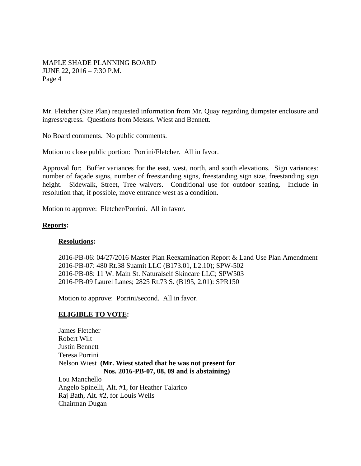Mr. Fletcher (Site Plan) requested information from Mr. Quay regarding dumpster enclosure and ingress/egress. Questions from Messrs. Wiest and Bennett.

No Board comments. No public comments.

Motion to close public portion: Porrini/Fletcher. All in favor.

Approval for: Buffer variances for the east, west, north, and south elevations. Sign variances: number of façade signs, number of freestanding signs, freestanding sign size, freestanding sign height. Sidewalk, Street, Tree waivers. Conditional use for outdoor seating. Include in resolution that, if possible, move entrance west as a condition.

Motion to approve: Fletcher/Porrini. All in favor.

### **Reports:**

#### **Resolutions:**

2016-PB-06: 04/27/2016 Master Plan Reexamination Report & Land Use Plan Amendment 2016-PB-07: 480 Rt.38 Suamit LLC (B173.01, L2.10); SPW-502 2016-PB-08: 11 W. Main St. Naturalself Skincare LLC; SPW503 2016-PB-09 Laurel Lanes; 2825 Rt.73 S. (B195, 2.01): SPR150

Motion to approve: Porrini/second. All in favor.

# **ELIGIBLE TO VOTE:**

James Fletcher Robert Wilt Justin Bennett Teresa Porrini Nelson Wiest **(Mr. Wiest stated that he was not present for Nos. 2016-PB-07, 08, 09 and is abstaining)** Lou Manchello Angelo Spinelli, Alt. #1, for Heather Talarico Raj Bath, Alt. #2, for Louis Wells Chairman Dugan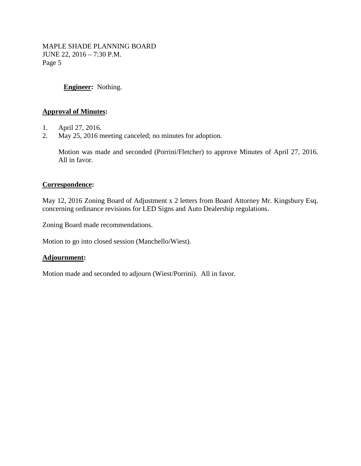# **Engineer:** Nothing.

# **Approval of Minutes:**

- 1. April 27, 2016.
- 2. May 25, 2016 meeting canceled; no minutes for adoption.

Motion was made and seconded (Porrini/Fletcher) to approve Minutes of April 27, 2016. All in favor.

### **Correspondence:**

May 12, 2016 Zoning Board of Adjustment x 2 letters from Board Attorney Mr. Kingsbury Esq. concerning ordinance revisions for LED Signs and Auto Dealership regulations.

Zoning Board made recommendations.

Motion to go into closed session (Manchello/Wiest).

# **Adjournment:**

Motion made and seconded to adjourn (Wiest/Porrini). All in favor.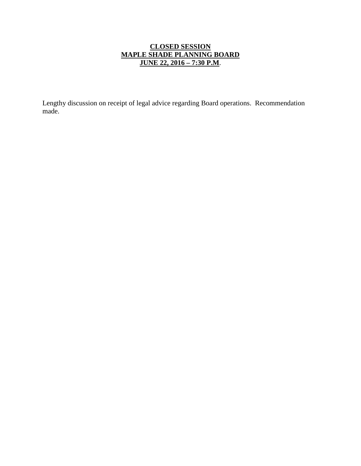# **CLOSED SESSION MAPLE SHADE PLANNING BOARD JUNE 22, 2016 – 7:30 P.M**.

Lengthy discussion on receipt of legal advice regarding Board operations. Recommendation made.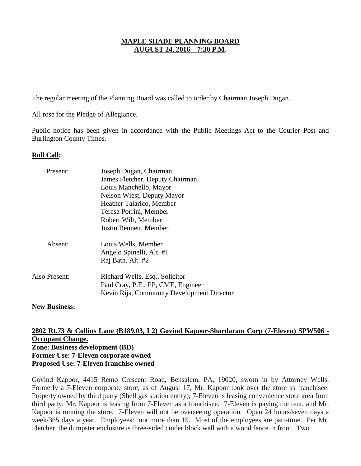# **MAPLE SHADE PLANNING BOARD AUGUST 24, 2016 – 7:30 P.M**.

The regular meeting of the Planning Board was called to order by Chairman Joseph Dugan.

All rose for the Pledge of Allegiance.

Public notice has been given in accordance with the Public Meetings Act to the Courier Post and Burlington County Times.

# **Roll Call:**

| Present:      | Joseph Dugan, Chairman                                               |
|---------------|----------------------------------------------------------------------|
|               | James Fletcher, Deputy Chairman                                      |
|               | Louis Manchello, Mayor                                               |
|               | <b>Nelson Wiest, Deputy Mayor</b>                                    |
|               | Heather Talarico, Member                                             |
|               | Teresa Porrini, Member                                               |
|               | Robert Wilt, Member                                                  |
|               | Justin Bennett, Member                                               |
| Absent:       | Louis Wells, Member                                                  |
|               | Angelo Spinelli, Alt. #1                                             |
|               | Raj Bath, Alt. #2                                                    |
| Also Present: | Richard Wells, Esq., Solicitor<br>Paul Cray, P.E., PP, CME, Engineer |
|               | Kevin Rijs, Community Development Director                           |

#### **New Business:**

# **Zone: Business development (BD) 2802 Rt.73 & Collins Lane (B189.03, L2) Govind Kapoor-Shardaram Corp (7-Eleven) SPW506 - Occupant Change. Former Use: 7-Eleven corporate owned Proposed Use: 7-Eleven franchise owned**

Govind Kapoor, 4415 Remo Crescent Road, Bensalem, PA, 19020, sworn in by Attorney Wells. Formerly a 7-Eleven corporate store; as of August 17, Mr. Kapoor took over the store as franchisee. Property owned by third party (Shell gas station entity); 7-Eleven is leasing convenience store area from third party; Mr. Kapoor is leasing from 7-Eleven as a franchisee. 7-Eleven is paying the rent, and Mr. Kapoor is running the store. 7-Eleven will not be overseeing operation. Open 24 hours/seven days a week/365 days a year. Employees: not more than 15. Most of the employees are part-time. Per Mr. Fletcher, the dumpster enclosure is three-sided cinder block wall with a wood fence in front. Two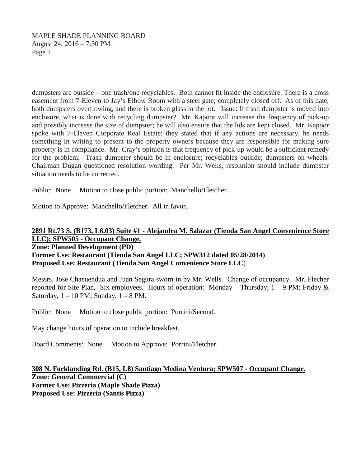# MAPLE SHADE PLANNING BOARD August 24, 2016 – 7:30 PM Page 2

dumpsters are outside – one trash/one recyclables. Both cannot fit inside the enclosure. There is a cross easement from 7-Eleven to Jay's Elbow Room with a steel gate; completely closed off. As of this date, both dumpsters overflowing, and there is broken glass in the lot. Issue: If trash dumpster is moved into enclosure, what is done with recycling dumpster? Mr. Kapoor will increase the frequency of pick-up and possibly increase the size of dumpster; he will also ensure that the lids are kept closed. Mr. Kapoor spoke with 7-Eleven Corporate Real Estate; they stated that if any actions are necessary, he needs something in writing to present to the property owners because they are responsible for making sure property is in compliance. Mr. Cray's opinion is that frequency of pick-up would be a sufficient remedy for the problem. Trash dumpster should be in enclosure; recyclables outside; dumpsters on wheels. Chairman Dugan questioned resolution wording. Per Mr. Wells, resolution should include dumpster situation needs to be corrected.

Public: None Motion to close public portion: Manchello/Fletcher.

Motion to Approve: Manchello/Fletcher. All in favor.

# **2891 Rt.73 S. (B173, L6.03) Suite #1 - Alejandra M. Salazar (Tienda San Angel Convenience Store LLC); SPW505 - Occupant Change.**

**Zone: Planned Development (PD) Former Use: Restaurant (Tienda San Angel LLC; SPW312 dated 05/28/2014) Proposed Use: Restaurant (Tienda San Angel Convenience Store LLC**)

Messrs. Jose Chaeuendua and Juan Segura sworn in by Mr. Wells. Change of occupancy. Mr. Flecher reported for Site Plan. Six employees. Hours of operation: Monday – Thursday,  $1 - 9$  PM; Friday & Saturday,  $1 - 10$  PM; Sunday,  $1 - 8$  PM.

Public: None Motion to close public portion: Porrini/Second.

May change hours of operation to include breakfast.

Board Comments: None Motion to Approve: Porrini/Fletcher.

**Zone: General Commercial (C) 308 N. Forklanding Rd. (B15, L8) Santiago Medina Ventura; SPW507 - Occupant Change. Former Use: Pizzeria (Maple Shade Pizza) Proposed Use: Pizzeria (Santis Pizza)**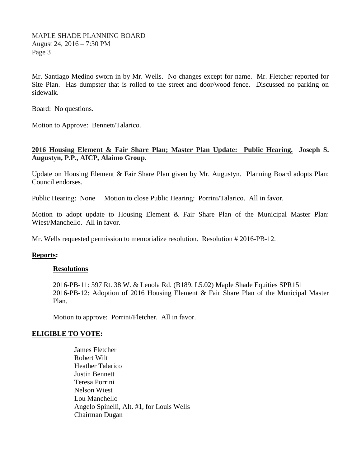MAPLE SHADE PLANNING BOARD August 24, 2016 – 7:30 PM Page 3

Mr. Santiago Medino sworn in by Mr. Wells. No changes except for name. Mr. Fletcher reported for Site Plan. Has dumpster that is rolled to the street and door/wood fence. Discussed no parking on sidewalk.

Board: No questions.

Motion to Approve: Bennett/Talarico.

# **2016 Housing Element & Fair Share Plan; Master Plan Update: Public Hearing. Joseph S. Augustyn, P.P., AICP, Alaimo Group.**

Update on Housing Element & Fair Share Plan given by Mr. Augustyn. Planning Board adopts Plan; Council endorses.

Public Hearing: None Motion to close Public Hearing: Porrini/Talarico. All in favor.

Motion to adopt update to Housing Element & Fair Share Plan of the Municipal Master Plan: Wiest/Manchello. All in favor.

Mr. Wells requested permission to memorialize resolution. Resolution # 2016-PB-12.

# **Reports:**

#### **Resolutions**

2016-PB-11: 597 Rt. 38 W. & Lenola Rd. (B189, L5.02) Maple Shade Equities SPR151 2016-PB-12: Adoption of 2016 Housing Element & Fair Share Plan of the Municipal Master Plan.

Motion to approve: Porrini/Fletcher. All in favor.

# **ELIGIBLE TO VOTE:**

James Fletcher Robert Wilt Heather Talarico Justin Bennett Teresa Porrini Nelson Wiest Lou Manchello Angelo Spinelli, Alt. #1, for Louis Wells Chairman Dugan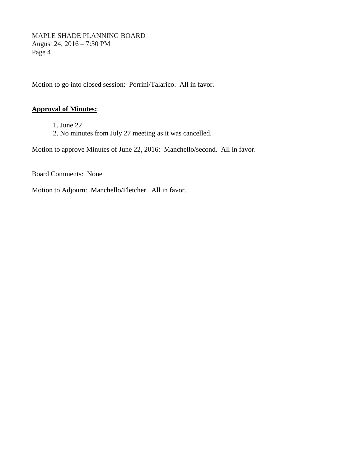MAPLE SHADE PLANNING BOARD August 24, 2016 – 7:30 PM Page 4

Motion to go into closed session: Porrini/Talarico. All in favor.

# **Approval of Minutes:**

1. June 22 2. No minutes from July 27 meeting as it was cancelled.

Motion to approve Minutes of June 22, 2016: Manchello/second. All in favor.

Board Comments: None

Motion to Adjourn: Manchello/Fletcher. All in favor.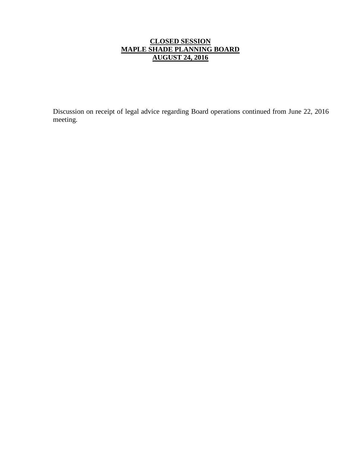# **CLOSED SESSION MAPLE SHADE PLANNING BOARD AUGUST 24, 2016**

Discussion on receipt of legal advice regarding Board operations continued from June 22, 2016 meeting.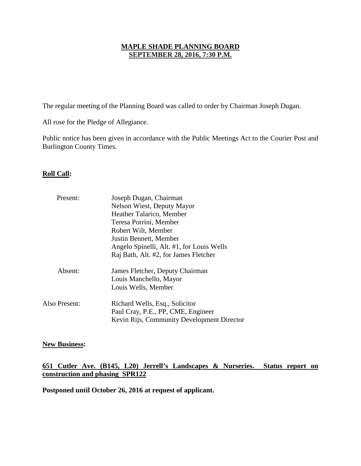# **MAPLE SHADE PLANNING BOARD SEPTEMBER 28, 2016, 7:30 P.M.**

The regular meeting of the Planning Board was called to order by Chairman Joseph Dugan.

All rose for the Pledge of Allegiance.

Public notice has been given in accordance with the Public Meetings Act to the Courier Post and Burlington County Times.

# **Roll Call:**

| Present:      | Joseph Dugan, Chairman                     |
|---------------|--------------------------------------------|
|               | <b>Nelson Wiest, Deputy Mayor</b>          |
|               | Heather Talarico, Member                   |
|               | Teresa Porrini, Member                     |
|               | Robert Wilt, Member                        |
|               | Justin Bennett, Member                     |
|               | Angelo Spinelli, Alt. #1, for Louis Wells  |
|               | Raj Bath, Alt. #2, for James Fletcher      |
| Absent:       | James Fletcher, Deputy Chairman            |
|               | Louis Manchello, Mayor                     |
|               | Louis Wells, Member                        |
| Also Present: | Richard Wells, Esq., Solicitor             |
|               | Paul Cray, P.E., PP, CME, Engineer         |
|               | Kevin Rijs, Community Development Director |

# **New Business:**

# **651 Cutler Ave. (B145, L20) Jerrell's Landscapes & Nurseries. Status report on construction and phasing SPR122**

**Postponed until October 26, 2016 at request of applicant.**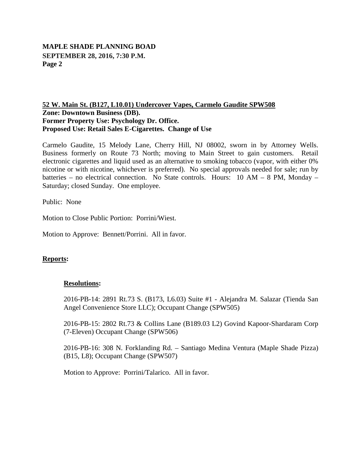# **MAPLE SHADE PLANNING BOAD SEPTEMBER 28, 2016, 7:30 P.M. Page 2**

# **Zone: Downtown Business (DB). 52 W. Main St. (B127, L10.01) Undercover Vapes, Carmelo Gaudite SPW508 Former Property Use: Psychology Dr. Office. Proposed Use: Retail Sales E-Cigarettes. Change of Use**

Carmelo Gaudite, 15 Melody Lane, Cherry Hill, NJ 08002, sworn in by Attorney Wells. Business formerly on Route 73 North; moving to Main Street to gain customers. Retail electronic cigarettes and liquid used as an alternative to smoking tobacco (vapor, with either 0% nicotine or with nicotine, whichever is preferred). No special approvals needed for sale; run by batteries – no electrical connection. No State controls. Hours: 10 AM – 8 PM, Monday – Saturday; closed Sunday. One employee.

Public: None

Motion to Close Public Portion: Porrini/Wiest.

Motion to Approve: Bennett/Porrini. All in favor.

# **Reports:**

#### **Resolutions:**

2016-PB-14: 2891 Rt.73 S. (B173, L6.03) Suite #1 - Alejandra M. Salazar (Tienda San Angel Convenience Store LLC); Occupant Change (SPW505)

2016-PB-15: 2802 Rt.73 & Collins Lane (B189.03 L2) Govind Kapoor-Shardaram Corp (7-Eleven) Occupant Change (SPW506)

2016-PB-16: 308 N. Forklanding Rd. – Santiago Medina Ventura (Maple Shade Pizza) (B15, L8); Occupant Change (SPW507)

Motion to Approve: Porrini/Talarico. All in favor.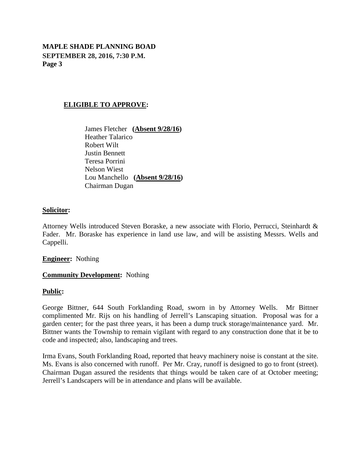# **MAPLE SHADE PLANNING BOAD SEPTEMBER 28, 2016, 7:30 P.M. Page 3**

### **ELIGIBLE TO APPROVE:**

James Fletcher **(Absent 9/28/16 )** Heather Talarico Robert Wilt Justin Bennett Teresa Porrini Nelson Wiest Lou Manchello **(Absent 9/28/16 )** Chairman Dugan

#### **Solicitor:**

Attorney Wells introduced Steven Boraske, a new associate with Florio, Perrucci, Steinhardt & Fader. Mr. Boraske has experience in land use law, and will be assisting Messrs. Wells and Cappelli.

### **Engineer:** Nothing

#### **Community Development:** Nothing

#### **Public:**

George Bittner, 644 South Forklanding Road, sworn in by Attorney Wells. Mr Bittner complimented Mr. Rijs on his handling of Jerrell's Lanscaping situation. Proposal was for a garden center; for the past three years, it has been a dump truck storage/maintenance yard. Mr. Bittner wants the Township to remain vigilant with regard to any construction done that it be to code and inspected; also, landscaping and trees.

Irma Evans, South Forklanding Road, reported that heavy machinery noise is constant at the site. Ms. Evans is also concerned with runoff. Per Mr. Cray, runoff is designed to go to front (street). Chairman Dugan assured the residents that things would be taken care of at October meeting; Jerrell's Landscapers will be in attendance and plans will be available.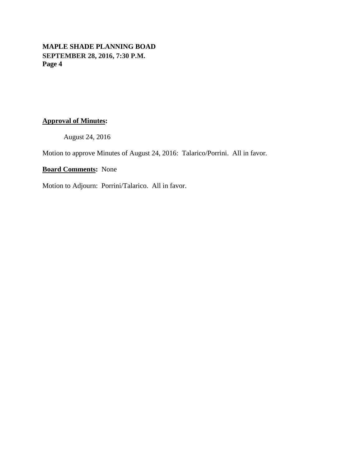# **MAPLE SHADE PLANNING BOAD SEPTEMBER 28, 2016, 7:30 P.M. Page 4**

# **Approval of Minutes:**

August 24, 2016

Motion to approve Minutes of August 24, 2016: Talarico/Porrini. All in favor.

**Board Comments:** None

Motion to Adjourn: Porrini/Talarico. All in favor.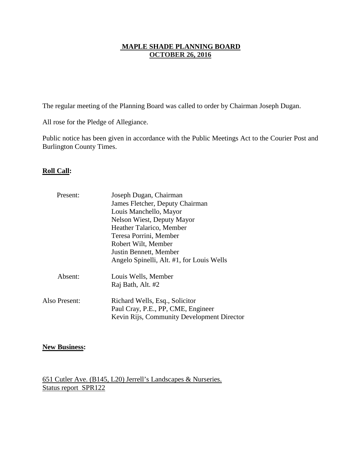# **MAPLE SHADE PLANNING BOARD OCTOBER 26, 2016**

The regular meeting of the Planning Board was called to order by Chairman Joseph Dugan.

All rose for the Pledge of Allegiance.

Public notice has been given in accordance with the Public Meetings Act to the Courier Post and Burlington County Times.

# **Roll Call:**

| Present:      | Joseph Dugan, Chairman                     |
|---------------|--------------------------------------------|
|               | James Fletcher, Deputy Chairman            |
|               | Louis Manchello, Mayor                     |
|               | Nelson Wiest, Deputy Mayor                 |
|               | Heather Talarico, Member                   |
|               | Teresa Porrini, Member                     |
|               | Robert Wilt, Member                        |
|               | Justin Bennett, Member                     |
|               | Angelo Spinelli, Alt. #1, for Louis Wells  |
| Absent:       | Louis Wells, Member                        |
|               | Raj Bath, Alt. #2                          |
| Also Present: | Richard Wells, Esq., Solicitor             |
|               | Paul Cray, P.E., PP, CME, Engineer         |
|               | Kevin Rijs, Community Development Director |

# **New Business:**

651 Cutler Ave. (B145, L20) Jerrell's Landscapes & Nurseries. Status report SPR122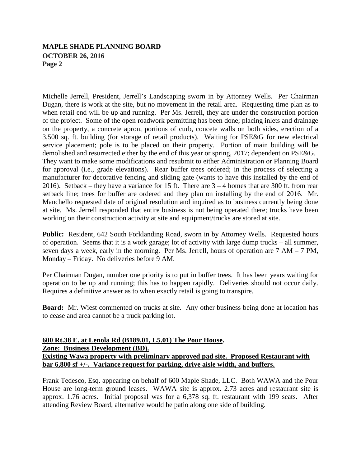Michelle Jerrell, President, Jerrell's Landscaping sworn in by Attorney Wells. Per Chairman Dugan, there is work at the site, but no movement in the retail area. Requesting time plan as to when retail end will be up and running. Per Ms. Jerrell, they are under the construction portion of the project. Some of the open roadwork permitting has been done; placing inlets and drainage on the property, a concrete apron, portions of curb, concete walls on both sides, erection of a 3,500 sq. ft. building (for storage of retail products). Waiting for PSE&G for new electrical service placement; pole is to be placed on their property. Portion of main building will be demolished and resurrected either by the end of this year or spring, 2017; dependent on PSE&G. They want to make some modifications and resubmit to either Administration or Planning Board for approval (i.e., grade elevations). Rear buffer trees ordered; in the process of selecting a manufacturer for decorative fencing and sliding gate (wants to have this installed by the end of 2016). Setback – they have a variance for 15 ft. There are  $3 - 4$  homes that are 300 ft. from rear setback line; trees for buffer are ordered and they plan on installing by the end of 2016. Mr. Manchello requested date of original resolution and inquired as to business currently being done at site. Ms. Jerrell responded that entire business is not being operated there; trucks have been working on their construction activity at site and equipment/trucks are stored at site.

Public: Resident, 642 South Forklanding Road, sworn in by Attorney Wells. Requested hours of operation. Seems that it is a work garage; lot of activity with large dump trucks – all summer, seven days a week, early in the morning. Per Ms. Jerrell, hours of operation are 7 AM – 7 PM, Monday – Friday. No deliveries before 9 AM.

Per Chairman Dugan, number one priority is to put in buffer trees. It has been years waiting for operation to be up and running; this has to happen rapidly. Deliveries should not occur daily. Requires a definitive answer as to when exactly retail is going to transpire.

**Board:** Mr. Wiest commented on trucks at site. Any other business being done at location has to cease and area cannot be a truck parking lot.

# **600 Rt.38 E. at Lenola Rd (B189.01, L5.01) The Pour House.**

**Zone: Business Development (BD).** 

# **Existing Wawa property with preliminary approved pad site. Proposed Restaurant with bar 6,800 sf +/-. Variance request for parking, drive aisle width, and buffers.**

Frank Tedesco, Esq. appearing on behalf of 600 Maple Shade, LLC. Both WAWA and the Pour House are long-term ground leases. WAWA site is approx. 2.73 acres and restaurant site is approx. 1.76 acres. Initial proposal was for a 6,378 sq. ft. restaurant with 199 seats. After attending Review Board, alternative would be patio along one side of building.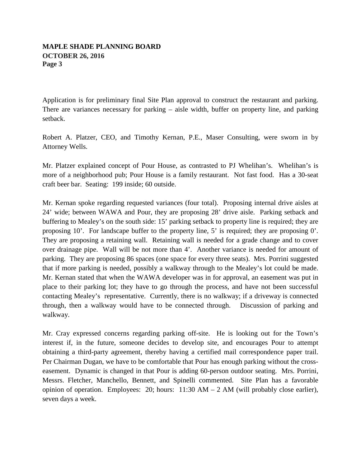Application is for preliminary final Site Plan approval to construct the restaurant and parking. There are variances necessary for parking – aisle width, buffer on property line, and parking setback.

Robert A. Platzer, CEO, and Timothy Kernan, P.E., Maser Consulting, were sworn in by Attorney Wells.

Mr. Platzer explained concept of Pour House, as contrasted to PJ Whelihan's. Whelihan's is more of a neighborhood pub; Pour House is a family restaurant. Not fast food. Has a 30-seat craft beer bar. Seating: 199 inside; 60 outside.

Mr. Kernan spoke regarding requested variances (four total). Proposing internal drive aisles at 24' wide; between WAWA and Pour, they are proposing 28' drive aisle. Parking setback and buffering to Mealey's on the south side: 15' parking setback to property line is required; they are proposing 10'. For landscape buffer to the property line, 5' is required; they are proposing 0'. They are proposing a retaining wall. Retaining wall is needed for a grade change and to cover over drainage pipe. Wall will be not more than 4'. Another variance is needed for amount of parking. They are proposing 86 spaces (one space for every three seats). Mrs. Porrini suggested that if more parking is needed, possibly a walkway through to the Mealey's lot could be made. Mr. Kernan stated that when the WAWA developer was in for approval, an easement was put in place to their parking lot; they have to go through the process, and have not been successful contacting Mealey's representative. Currently, there is no walkway; if a driveway is connected through, then a walkway would have to be connected through. Discussion of parking and walkway.

Mr. Cray expressed concerns regarding parking off-site. He is looking out for the Town's interest if, in the future, someone decides to develop site, and encourages Pour to attempt obtaining a third-party agreement, thereby having a certified mail correspondence paper trail. Per Chairman Dugan, we have to be comfortable that Pour has enough parking without the crosseasement. Dynamic is changed in that Pour is adding 60-person outdoor seating. Mrs. Porrini, Messrs. Fletcher, Manchello, Bennett, and Spinelli commented. Site Plan has a favorable opinion of operation. Employees: 20; hours: 11:30 AM – 2 AM (will probably close earlier), seven days a week.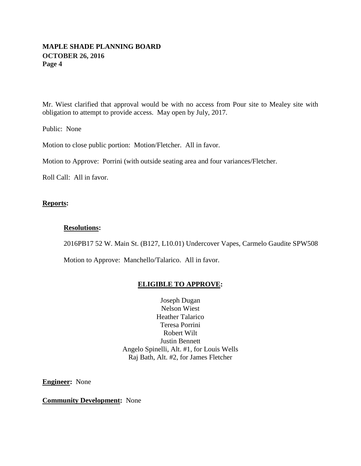Mr. Wiest clarified that approval would be with no access from Pour site to Mealey site with obligation to attempt to provide access. May open by July, 2017.

Public: None

Motion to close public portion: Motion/Fletcher. All in favor.

Motion to Approve: Porrini (with outside seating area and four variances/Fletcher.

Roll Call: All in favor.

# **Reports:**

# **Resolutions:**

2016PB17 52 W. Main St. (B127, L10.01) Undercover Vapes, Carmelo Gaudite SPW508

Motion to Approve: Manchello/Talarico. All in favor.

# **ELIGIBLE TO APPROVE:**

Joseph Dugan Nelson Wiest Heather Talarico Teresa Porrini Robert Wilt Justin Bennett Angelo Spinelli, Alt. #1, for Louis Wells Raj Bath, Alt. #2, for James Fletcher

**Engineer:** None

**Community Development:** None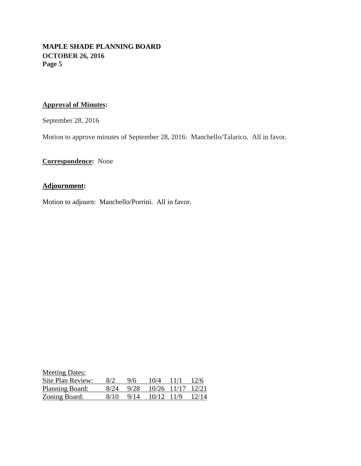# **Approval of Minutes:**

September 28, 2016

Motion to approve minutes of September 28, 2016: Manchello/Talarico. All in favor.

**Correspondence:** None

# **Adjournment:**

Motion to adjourn: Manchello/Porrini. All in favor.

| <b>Meeting Dates:</b> |      |      |             |      |       |
|-----------------------|------|------|-------------|------|-------|
| Site Plan Review:     | 8/2  | 9/6  | 10/4        | 11/1 | 12/6  |
| Planning Board:       | 8/24 | 9/28 | 10/26 11/17 |      | 12/21 |
| Zoning Board:         | 8/10 | 9/14 | 10/12 11/9  |      | 12/14 |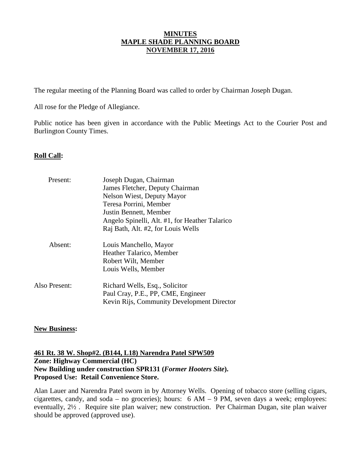# **MINUTES MAPLE SHADE PLANNING BOARD NOVEMBER 17, 2016**

The regular meeting of the Planning Board was called to order by Chairman Joseph Dugan.

All rose for the Pledge of Allegiance.

Public notice has been given in accordance with the Public Meetings Act to the Courier Post and Burlington County Times.

# **Roll Call:**

| Present:      | Joseph Dugan, Chairman                         |
|---------------|------------------------------------------------|
|               | James Fletcher, Deputy Chairman                |
|               | Nelson Wiest, Deputy Mayor                     |
|               | Teresa Porrini, Member                         |
|               | Justin Bennett, Member                         |
|               | Angelo Spinelli, Alt. #1, for Heather Talarico |
|               | Raj Bath, Alt. #2, for Louis Wells             |
| Absent:       | Louis Manchello, Mayor                         |
|               | Heather Talarico, Member                       |
|               | Robert Wilt, Member                            |
|               | Louis Wells, Member                            |
| Also Present: | Richard Wells, Esq., Solicitor                 |
|               | Paul Cray, P.E., PP, CME, Engineer             |
|               | Kevin Rijs, Community Development Director     |

# **New Business:**

**Zone: Highway Commercial (HC) 461 Rt. 38 W. Shop#2. (B144, L18) Narendra Patel SPW509 New Building under construction SPR131 (***Former Hooters Site***). Proposed Use: Retail Convenience Store.**

Alan Lauer and Narendra Patel sworn in by Attorney Wells. Opening of tobacco store (selling cigars, cigarettes, candy, and soda – no groceries); hours: 6 AM – 9 PM, seven days a week; employees: eventually, 2½ . Require site plan waiver; new construction. Per Chairman Dugan, site plan waiver should be approved (approved use).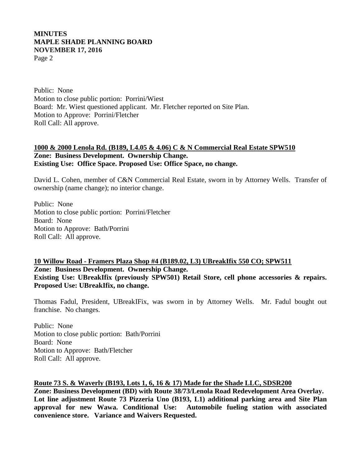# **MINUTES MAPLE SHADE PLANNING BOARD NOVEMBER 17, 2016** Page 2

Public: None Motion to close public portion: Porrini/Wiest Board: Mr. Wiest questioned applicant. Mr. Fletcher reported on Site Plan. Motion to Approve: Porrini/Fletcher Roll Call: All approve.

### **Zone: Business Development. Ownership Change. 1000 & 2000 Lenola Rd. (B189, L4.05 & 4.06) C & N Commercial Real Estate SPW510 Existing Use: Office Space. Proposed Use: Office Space, no change.**

David L. Cohen, member of C&N Commercial Real Estate, sworn in by Attorney Wells. Transfer of ownership (name change); no interior change.

Public: None Motion to close public portion: Porrini/Fletcher Board: None Motion to Approve: Bath/Porrini Roll Call: All approve.

**Zone: Business Development. Ownership Change. 10 Willow Road - Framers Plaza Shop #4 (B189.02, L3) UBreakIfix 550 CO; SPW511 Existing Use: UBreakIfix (previously SPW501) Retail Store, cell phone accessories & repairs. Proposed Use: UBreakIfix, no change.** 

Thomas Fadul, President, UBreakIFix, was sworn in by Attorney Wells. Mr. Fadul bought out franchise. No changes.

Public: None Motion to close public portion: Bath/Porrini Board: None Motion to Approve: Bath/Fletcher Roll Call: All approve.

# **Route 73 S. & Waverly (B193, Lots 1, 6, 16 & 17) Made for the Shade LLC, SDSR200**

**Zone: Business Development (BD) with Route 38/73/Lenola Road Redevelopment Area Overlay. Lot line adjustment Route 73 Pizzeria Uno (B193, L1) additional parking area and Site Plan approval for new Wawa. Conditional Use: Automobile fueling station with associated convenience store. Variance and Waivers Requested.**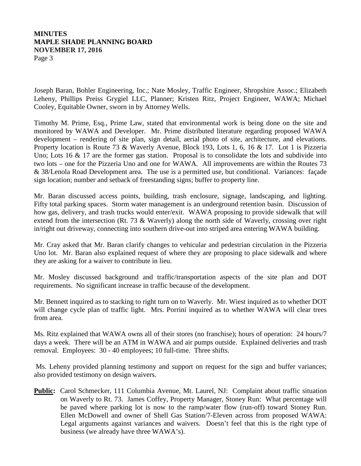# **MINUTES MAPLE SHADE PLANNING BOARD NOVEMBER 17, 2016** Page 3

Joseph Baran, Bohler Engineering, Inc.; Nate Mosley, Traffic Engineer, Shropshire Assoc.; Elizabeth Leheny, Phillips Preiss Grygiel LLC, Planner; Kristen Ritz, Project Engineer, WAWA; Michael Cooley, Equitable Owner, sworn in by Attorney Wells.

Timothy M. Prime, Esq., Prime Law, stated that environmental work is being done on the site and monitored by WAWA and Developer. Mr. Prime distributed literature regarding proposed WAWA development – rendering of site plan, sign detail, aerial photo of site, architecture, and elevations. Property location is Route 73 & Waverly Avenue, Block 193, Lots 1, 6, 16 & 17. Lot 1 is Pizzeria Uno; Lots 16 & 17 are the former gas station. Proposal is to consolidate the lots and subdivide into two lots – one for the Pizzeria Uno and one for WAWA. All improvements are within the Routes 73 & 38/Lenola Road Development area. The use is a permitted use, but conditional. Variances: façade sign location; number and setback of freestanding signs; buffer to property line.

Mr. Baran discussed access points, building, trash enclosure, signage, landscaping, and lighting. Fifty total parking spaces. Storm water management is an underground retention basin. Discussion of how gas, delivery, and trash trucks would enter/exit. WAWA proposing to provide sidewalk that will extend from the intersection (Rt. 73 & Waverly) along the north side of Waverly, crossing over right in/right out driveway, connecting into southern drive-out into striped area entering WAWA building.

Mr. Cray asked that Mr. Baran clarify changes to vehicular and pedestrian circulation in the Pizzeria Uno lot. Mr. Baran also explained request of where they are proposing to place sidewalk and where they are asking for a waiver to contribute in lieu.

Mr. Mosley discussed background and traffic/transportation aspects of the site plan and DOT requirements. No significant increase in traffic because of the development.

Mr. Bennett inquired as to stacking to right turn on to Waverly. Mr. Wiest inquired as to whether DOT will change cycle plan of traffic light. Mrs. Porrini inquired as to whether WAWA will clear trees from area.

Ms. Ritz explained that WAWA owns all of their stores (no franchise); hours of operation: 24 hours/7 days a week. There will be an ATM in WAWA and air pumps outside. Explained deliveries and trash removal. Employees: 30 - 40 employees; 10 full-time. Three shifts.

Ms. Leheny provided planning testimony and support on request for the sign and buffer variances; also provided testimony on design waivers.

**Public:** Carol Schmecker, 111 Columbia Avenue, Mt. Laurel, NJ: Complaint about traffic situation on Waverly to Rt. 73. James Coffey, Property Manager, Stoney Run: What percentage will be paved where parking lot is now to the ramp/water flow (run-off) toward Stoney Run. Ellen McDowell and owner of Shell Gas Station/7-Eleven across from proposed WAWA: Legal arguments against variances and waivers. Doesn't feel that this is the right type of business (we already have three WAWA's).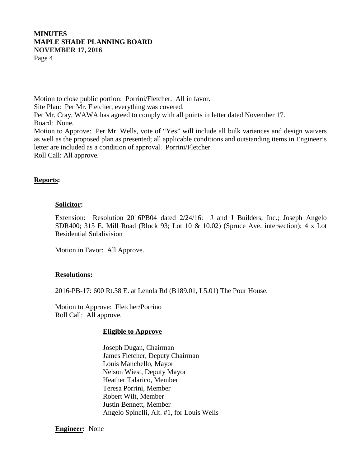# **MINUTES MAPLE SHADE PLANNING BOARD NOVEMBER 17, 2016** Page 4

Motion to close public portion: Porrini/Fletcher. All in favor. Site Plan: Per Mr. Fletcher, everything was covered. Per Mr. Cray, WAWA has agreed to comply with all points in letter dated November 17. Board: None. Motion to Approve: Per Mr. Wells, vote of "Yes" will include all bulk variances and design waivers as well as the proposed plan as presented; all applicable conditions and outstanding items in Engineer's letter are included as a condition of approval. Porrini/Fletcher Roll Call: All approve.

# **Reports:**

### **Solicitor:**

Extension: Resolution 2016PB04 dated 2/24/16: J and J Builders, Inc.; Joseph Angelo SDR400; 315 E. Mill Road (Block 93; Lot 10 & 10.02) (Spruce Ave. intersection); 4 x Lot Residential Subdivision

Motion in Favor: All Approve.

#### **Resolutions:**

2016-PB-17: 600 Rt.38 E. at Lenola Rd (B189.01, L5.01) The Pour House.

Motion to Approve: Fletcher/Porrino Roll Call: All approve.

#### **Eligible to Approve**

Joseph Dugan, Chairman James Fletcher, Deputy Chairman Louis Manchello, Mayor Nelson Wiest, Deputy Mayor Heather Talarico, Member Teresa Porrini, Member Robert Wilt, Member Justin Bennett, Member Angelo Spinelli, Alt. #1, for Louis Wells

**Engineer:** None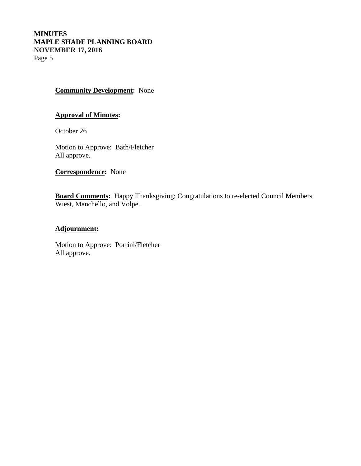# **Community Development:** None

# **Approval of Minutes:**

October 26

Motion to Approve: Bath/Fletcher All approve.

**Correspondence:** None

**Board Comments:** Happy Thanksgiving; Congratulations to re-elected Council Members Wiest, Manchello, and Volpe.

# **Adjournment:**

Motion to Approve: Porrini/Fletcher All approve.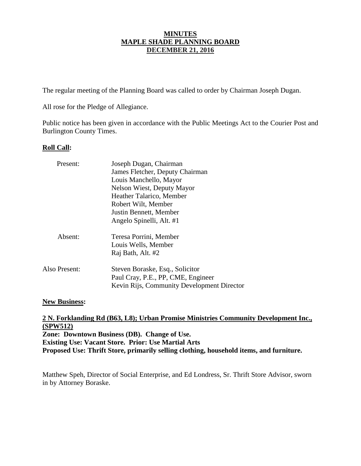# **MINUTES MAPLE SHADE PLANNING BOARD DECEMBER 21, 2016**

The regular meeting of the Planning Board was called to order by Chairman Joseph Dugan.

All rose for the Pledge of Allegiance.

Public notice has been given in accordance with the Public Meetings Act to the Courier Post and Burlington County Times.

# **Roll Call:**

| Present:      | Joseph Dugan, Chairman                                                                                              |
|---------------|---------------------------------------------------------------------------------------------------------------------|
|               | James Fletcher, Deputy Chairman                                                                                     |
|               | Louis Manchello, Mayor                                                                                              |
|               | <b>Nelson Wiest, Deputy Mayor</b>                                                                                   |
|               | Heather Talarico, Member                                                                                            |
|               | Robert Wilt, Member                                                                                                 |
|               | Justin Bennett, Member                                                                                              |
|               | Angelo Spinelli, Alt. #1                                                                                            |
| Absent:       | Teresa Porrini, Member                                                                                              |
|               | Louis Wells, Member                                                                                                 |
|               | Raj Bath, Alt. #2                                                                                                   |
| Also Present: | Steven Boraske, Esq., Solicitor<br>Paul Cray, P.E., PP, CME, Engineer<br>Kevin Rijs, Community Development Director |
|               |                                                                                                                     |

# **New Business:**

**Zone: Downtown Business (DB). Change of Use. 2 N. Forklanding Rd (B63, L8); Urban Promise Ministries Community Development Inc., (SPW512) Existing Use: Vacant Store. Prior: Use Martial Arts Proposed Use: Thrift Store, primarily selling clothing, household items, and furniture.**

Matthew Speh, Director of Social Enterprise, and Ed Londress, Sr. Thrift Store Advisor, sworn in by Attorney Boraske.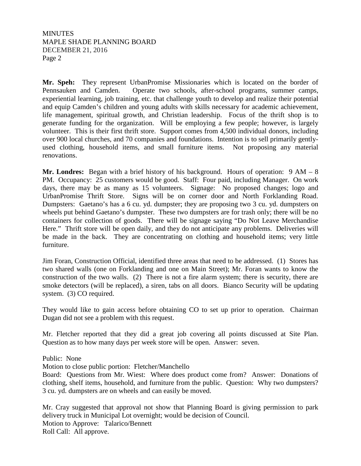# **MINUTES** MAPLE SHADE PLANNING BOARD DECEMBER 21, 2016 Page 2

**Mr. Speh:** They represent UrbanPromise Missionaries which is located on the border of Pennsauken and Camden. Operate two schools, after-school programs, summer camps, experiential learning, job training, etc. that challenge youth to develop and realize their potential and equip Camden's children and young adults with skills necessary for academic achievement, life management, spiritual growth, and Christian leadership. Focus of the thrift shop is to generate funding for the organization. Will be employing a few people; however, is largely volunteer. This is their first thrift store. Support comes from 4,500 individual donors, including over 900 local churches, and 70 companies and foundations. Intention is to sell primarily gentlyused clothing, household items, and small furniture items. Not proposing any material renovations.

**Mr. Londres:** Began with a brief history of his background. Hours of operation: 9 AM – 8 PM. Occupancy: 25 customers would be good. Staff: Four paid, including Manager. On work days, there may be as many as 15 volunteers. Signage: No proposed changes; logo and UrbanPromise Thrift Store. Signs will be on corner door and North Forklanding Road. Dumpsters: Gaetano's has a 6 cu. yd. dumpster; they are proposing two 3 cu. yd. dumpsters on wheels put behind Gaetano's dumpster. These two dumpsters are for trash only; there will be no containers for collection of goods. There will be signage saying "Do Not Leave Merchandise Here." Thrift store will be open daily, and they do not anticipate any problems. Deliveries will be made in the back. They are concentrating on clothing and household items; very little furniture.

Jim Foran, Construction Official, identified three areas that need to be addressed. (1) Stores has two shared walls (one on Forklanding and one on Main Street); Mr. Foran wants to know the construction of the two walls. (2) There is not a fire alarm system; there is security, there are smoke detectors (will be replaced), a siren, tabs on all doors. Bianco Security will be updating system. (3) CO required.

They would like to gain access before obtaining CO to set up prior to operation. Chairman Dugan did not see a problem with this request.

Mr. Fletcher reported that they did a great job covering all points discussed at Site Plan. Question as to how many days per week store will be open. Answer: seven.

Public: None

Motion to close public portion: Fletcher/Manchello

Board: Questions from Mr. Wiest: Where does product come from? Answer: Donations of clothing, shelf items, household, and furniture from the public. Question: Why two dumpsters? 3 cu. yd. dumpsters are on wheels and can easily be moved.

Mr. Cray suggested that approval not show that Planning Board is giving permission to park delivery truck in Municipal Lot overnight; would be decision of Council. Motion to Approve: Talarico/Bennett Roll Call: All approve.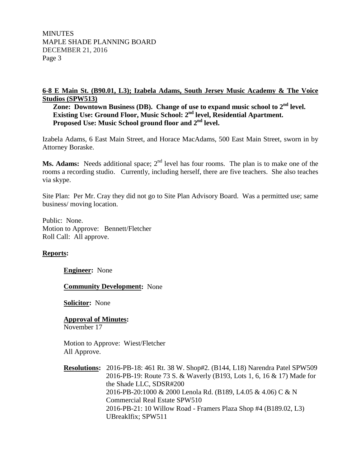**MINUTES** MAPLE SHADE PLANNING BOARD DECEMBER 21, 2016 Page 3

# **6-8 E Main St. (B90.01, L3); Izabela Adams, South Jersey Music Academy & The Voice Studios (SPW513)**

Zone: Downtown Business (DB). Change of use to expand music school to 2<sup>nd</sup> level. **Existing Use: Ground Floor, Music School: 2 nd level, Residential Apartment.** Proposed Use: Music School ground floor and 2<sup>nd</sup> level.

Izabela Adams, 6 East Main Street, and Horace MacAdams, 500 East Main Street, sworn in by Attorney Boraske.

**Ms. Adams:** Needs additional space;  $2<sup>nd</sup>$  level has four rooms. The plan is to make one of the rooms a recording studio. Currently, including herself, there are five teachers. She also teaches via skype.

Site Plan: Per Mr. Cray they did not go to Site Plan Advisory Board. Was a permitted use; same business/ moving location.

Public: None. Motion to Approve: Bennett/Fletcher Roll Call: All approve.

# **Reports:**

**Engineer:** None

**Community Development:** None

**Solicitor:** None

**Approval of Minutes :** November 17

Motion to Approve: Wiest/Fletcher All Approve.

**Resolutions :** 2016-PB-18: 461 Rt. 38 W. Shop#2. (B144, L18) Narendra Patel SPW509 2016-PB-19: Route 73 S. & Waverly (B193, Lots 1, 6, 16 & 17) Made for the Shade LLC, SDSR#200 2016-PB-20:1000 & 2000 Lenola Rd. (B189, L4.05 & 4.06) C & N Commercial Real Estate SPW510 2016-PB-21: 10 Willow Road - Framers Plaza Shop #4 (B189.02, L3) UBreakIfix; SPW511